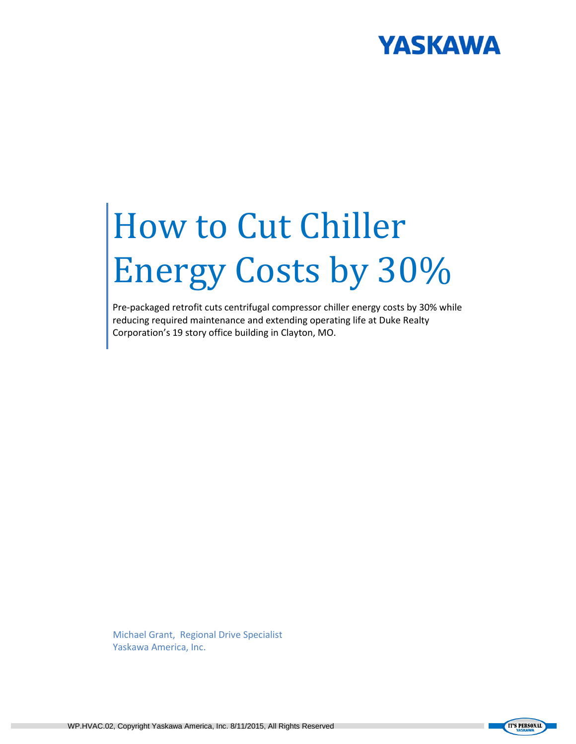# **YASKAWA**

# How to Cut Chiller Energy Costs by 30%

Pre-packaged retrofit cuts centrifugal compressor chiller energy costs by 30% while reducing required maintenance and extending operating life at Duke Realty Corporation's 19 story office building in Clayton, MO.

Michael Grant, Regional Drive Specialist Yaskawa America, Inc.

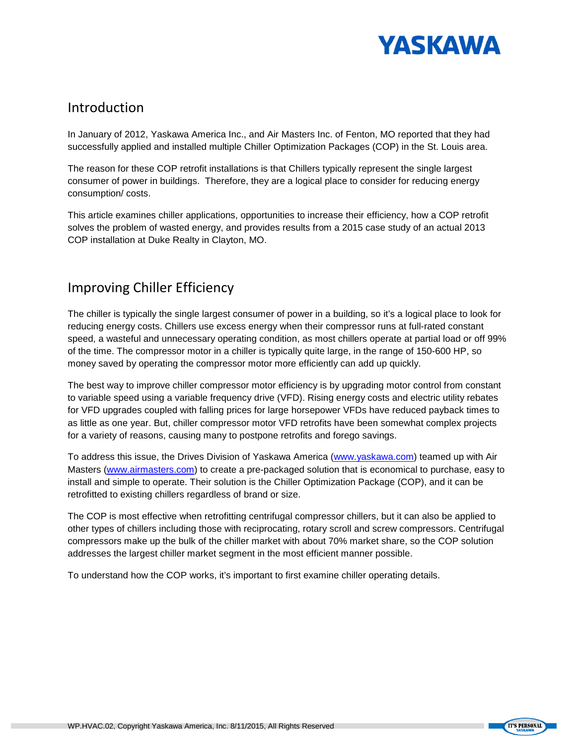

#### Introduction

In January of 2012, Yaskawa America Inc., and Air Masters Inc. of Fenton, MO reported that they had successfully applied and installed multiple Chiller Optimization Packages (COP) in the St. Louis area.

The reason for these COP retrofit installations is that Chillers typically represent the single largest consumer of power in buildings. Therefore, they are a logical place to consider for reducing energy consumption/ costs.

This article examines chiller applications, opportunities to increase their efficiency, how a COP retrofit solves the problem of wasted energy, and provides results from a 2015 case study of an actual 2013 COP installation at Duke Realty in Clayton, MO.

### Improving Chiller Efficiency

The chiller is typically the single largest consumer of power in a building, so it's a logical place to look for reducing energy costs. Chillers use excess energy when their compressor runs at full-rated constant speed, a wasteful and unnecessary operating condition, as most chillers operate at partial load or off 99% of the time. The compressor motor in a chiller is typically quite large, in the range of 150-600 HP, so money saved by operating the compressor motor more efficiently can add up quickly.

The best way to improve chiller compressor motor efficiency is by upgrading motor control from constant to variable speed using a variable frequency drive (VFD). Rising energy costs and electric utility rebates for VFD upgrades coupled with falling prices for large horsepower VFDs have reduced payback times to as little as one year. But, chiller compressor motor VFD retrofits have been somewhat complex projects for a variety of reasons, causing many to postpone retrofits and forego savings.

To address this issue, the Drives Division of Yaskawa America [\(www.yaskawa.com\)](http://www.yaskawa.com/) teamed up with Air Masters [\(www.airmasters.com\)](http://www.airmasters.com/) to create a pre-packaged solution that is economical to purchase, easy to install and simple to operate. Their solution is the Chiller Optimization Package (COP), and it can be retrofitted to existing chillers regardless of brand or size.

The COP is most effective when retrofitting centrifugal compressor chillers, but it can also be applied to other types of chillers including those with reciprocating, rotary scroll and screw compressors. Centrifugal compressors make up the bulk of the chiller market with about 70% market share, so the COP solution addresses the largest chiller market segment in the most efficient manner possible.

To understand how the COP works, it's important to first examine chiller operating details.

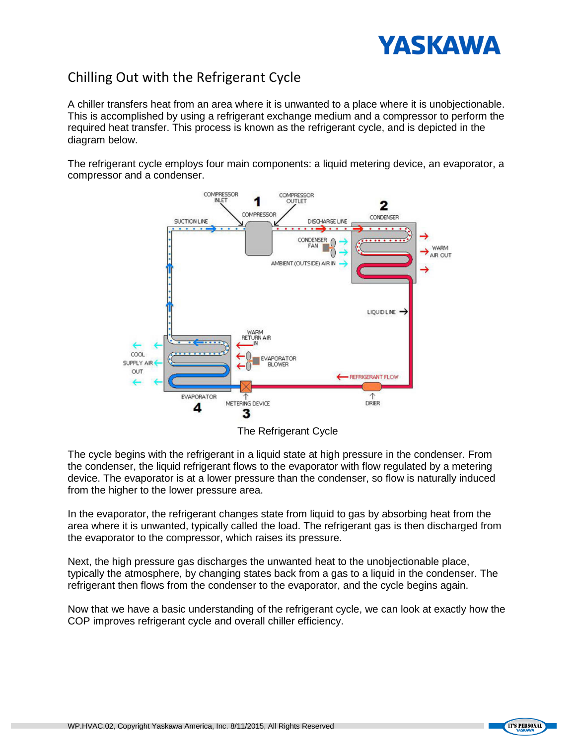

## Chilling Out with the Refrigerant Cycle

A chiller transfers heat from an area where it is unwanted to a place where it is unobjectionable. This is accomplished by using a refrigerant exchange medium and a compressor to perform the required heat transfer. This process is known as the refrigerant cycle, and is depicted in the diagram below.

The refrigerant cycle employs four main components: a liquid metering device, an evaporator, a compressor and a condenser.



The Refrigerant Cycle

The cycle begins with the refrigerant in a liquid state at high pressure in the condenser. From the condenser, the liquid refrigerant flows to the evaporator with flow regulated by a metering device. The evaporator is at a lower pressure than the condenser, so flow is naturally induced from the higher to the lower pressure area.

In the evaporator, the refrigerant changes state from liquid to gas by absorbing heat from the area where it is unwanted, typically called the load. The refrigerant gas is then discharged from the evaporator to the compressor, which raises its pressure.

Next, the high pressure gas discharges the unwanted heat to the unobjectionable place, typically the atmosphere, by changing states back from a gas to a liquid in the condenser. The refrigerant then flows from the condenser to the evaporator, and the cycle begins again.

Now that we have a basic understanding of the refrigerant cycle, we can look at exactly how the COP improves refrigerant cycle and overall chiller efficiency.

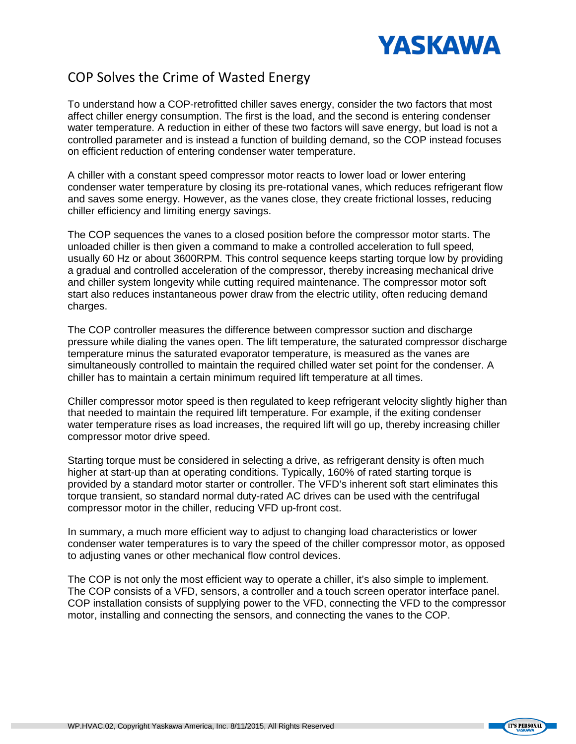

#### COP Solves the Crime of Wasted Energy

To understand how a COP-retrofitted chiller saves energy, consider the two factors that most affect chiller energy consumption. The first is the load, and the second is entering condenser water temperature. A reduction in either of these two factors will save energy, but load is not a controlled parameter and is instead a function of building demand, so the COP instead focuses on efficient reduction of entering condenser water temperature.

A chiller with a constant speed compressor motor reacts to lower load or lower entering condenser water temperature by closing its pre-rotational vanes, which reduces refrigerant flow and saves some energy. However, as the vanes close, they create frictional losses, reducing chiller efficiency and limiting energy savings.

The COP sequences the vanes to a closed position before the compressor motor starts. The unloaded chiller is then given a command to make a controlled acceleration to full speed, usually 60 Hz or about 3600RPM. This control sequence keeps starting torque low by providing a gradual and controlled acceleration of the compressor, thereby increasing mechanical drive and chiller system longevity while cutting required maintenance. The compressor motor soft start also reduces instantaneous power draw from the electric utility, often reducing demand charges.

The COP controller measures the difference between compressor suction and discharge pressure while dialing the vanes open. The lift temperature, the saturated compressor discharge temperature minus the saturated evaporator temperature, is measured as the vanes are simultaneously controlled to maintain the required chilled water set point for the condenser. A chiller has to maintain a certain minimum required lift temperature at all times.

Chiller compressor motor speed is then regulated to keep refrigerant velocity slightly higher than that needed to maintain the required lift temperature. For example, if the exiting condenser water temperature rises as load increases, the required lift will go up, thereby increasing chiller compressor motor drive speed.

Starting torque must be considered in selecting a drive, as refrigerant density is often much higher at start-up than at operating conditions. Typically, 160% of rated starting torque is provided by a standard motor starter or controller. The VFD's inherent soft start eliminates this torque transient, so standard normal duty-rated AC drives can be used with the centrifugal compressor motor in the chiller, reducing VFD up-front cost.

In summary, a much more efficient way to adjust to changing load characteristics or lower condenser water temperatures is to vary the speed of the chiller compressor motor, as opposed to adjusting vanes or other mechanical flow control devices.

The COP is not only the most efficient way to operate a chiller, it's also simple to implement. The COP consists of a VFD, sensors, a controller and a touch screen operator interface panel. COP installation consists of supplying power to the VFD, connecting the VFD to the compressor motor, installing and connecting the sensors, and connecting the vanes to the COP.

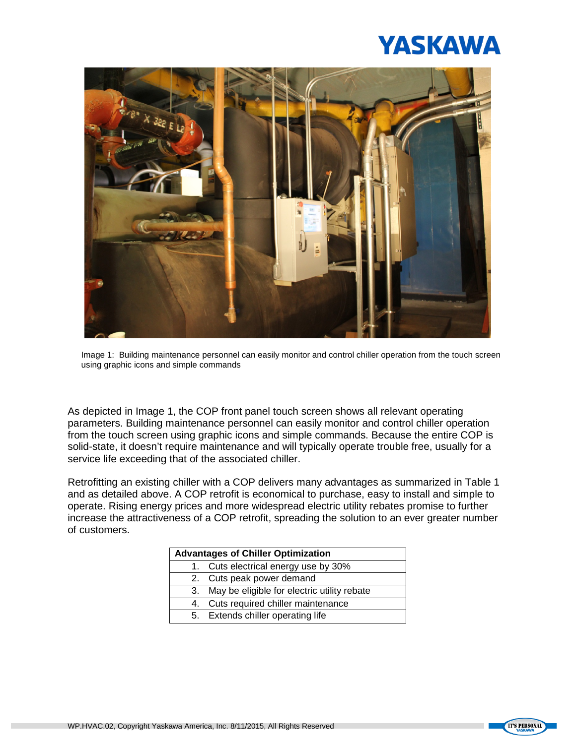



Image 1: Building maintenance personnel can easily monitor and control chiller operation from the touch screen using graphic icons and simple commands

As depicted in Image 1, the COP front panel touch screen shows all relevant operating parameters. Building maintenance personnel can easily monitor and control chiller operation from the touch screen using graphic icons and simple commands. Because the entire COP is solid-state, it doesn't require maintenance and will typically operate trouble free, usually for a service life exceeding that of the associated chiller.

Retrofitting an existing chiller with a COP delivers many advantages as summarized in Table 1 and as detailed above. A COP retrofit is economical to purchase, easy to install and simple to operate. Rising energy prices and more widespread electric utility rebates promise to further increase the attractiveness of a COP retrofit, spreading the solution to an ever greater number of customers.

| <b>Advantages of Chiller Optimization</b> |                                                |  |  |
|-------------------------------------------|------------------------------------------------|--|--|
|                                           | Cuts electrical energy use by 30%              |  |  |
|                                           | 2. Cuts peak power demand                      |  |  |
|                                           | 3. May be eligible for electric utility rebate |  |  |
| 4.                                        | Cuts required chiller maintenance              |  |  |
|                                           | 5. Extends chiller operating life              |  |  |

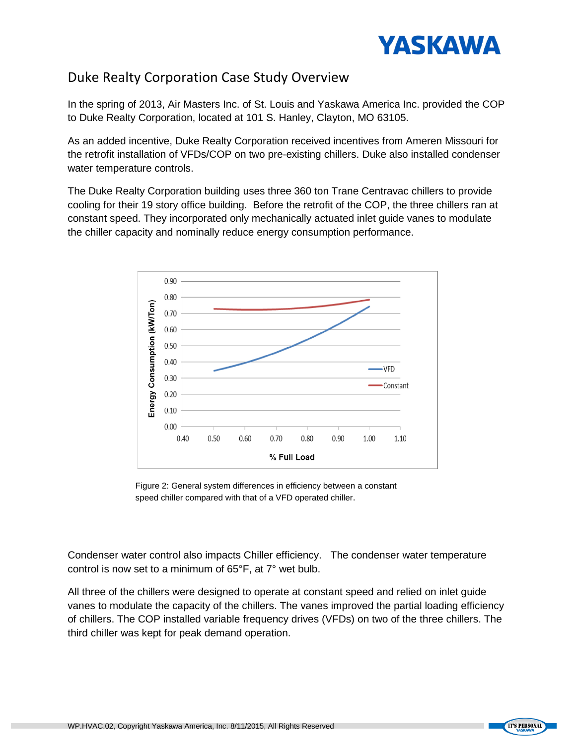

### Duke Realty Corporation Case Study Overview

In the spring of 2013, Air Masters Inc. of St. Louis and Yaskawa America Inc. provided the COP to Duke Realty Corporation, located at 101 S. Hanley, Clayton, MO 63105.

As an added incentive, Duke Realty Corporation received incentives from Ameren Missouri for the retrofit installation of VFDs/COP on two pre-existing chillers. Duke also installed condenser water temperature controls.

The Duke Realty Corporation building uses three 360 ton Trane Centravac chillers to provide cooling for their 19 story office building. Before the retrofit of the COP, the three chillers ran at constant speed. They incorporated only mechanically actuated inlet guide vanes to modulate the chiller capacity and nominally reduce energy consumption performance.



Figure 2: General system differences in efficiency between a constant speed chiller compared with that of a VFD operated chiller.

Condenser water control also impacts Chiller efficiency. The condenser water temperature control is now set to a minimum of 65°F, at 7° wet bulb.

All three of the chillers were designed to operate at constant speed and relied on inlet guide vanes to modulate the capacity of the chillers. The vanes improved the partial loading efficiency of chillers. The COP installed variable frequency drives (VFDs) on two of the three chillers. The third chiller was kept for peak demand operation.

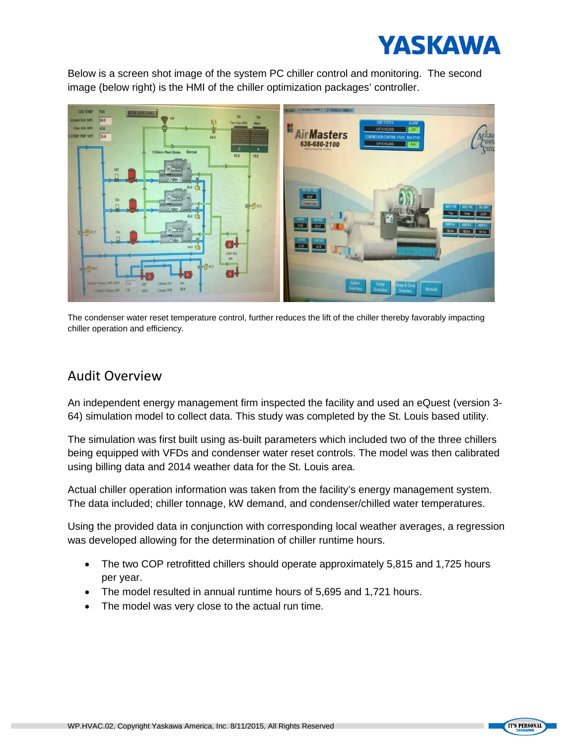

Below is a screen shot image of the system PC chiller control and monitoring. The second image (below right) is the HMI of the chiller optimization packages' controller.



The condenser water reset temperature control, further reduces the lift of the chiller thereby favorably impacting chiller operation and efficiency.

#### Audit Overview

An independent energy management firm inspected the facility and used an eQuest (version 3- 64) simulation model to collect data. This study was completed by the St. Louis based utility.

The simulation was first built using as-built parameters which included two of the three chillers being equipped with VFDs and condenser water reset controls. The model was then calibrated using billing data and 2014 weather data for the St. Louis area.

Actual chiller operation information was taken from the facility's energy management system. The data included; chiller tonnage, kW demand, and condenser/chilled water temperatures.

Using the provided data in conjunction with corresponding local weather averages, a regression was developed allowing for the determination of chiller runtime hours.

- The two COP retrofitted chillers should operate approximately 5,815 and 1,725 hours per year.
- The model resulted in annual runtime hours of 5,695 and 1,721 hours.
- The model was very close to the actual run time.

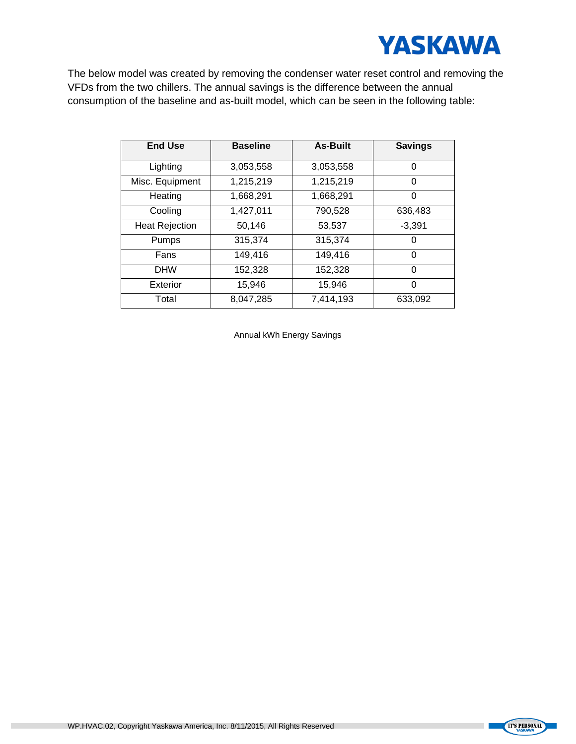

The below model was created by removing the condenser water reset control and removing the VFDs from the two chillers. The annual savings is the difference between the annual consumption of the baseline and as-built model, which can be seen in the following table:

| <b>End Use</b>        | <b>Baseline</b> | <b>As-Built</b> | <b>Savings</b> |
|-----------------------|-----------------|-----------------|----------------|
| Lighting              | 3,053,558       | 3,053,558       | $\Omega$       |
| Misc. Equipment       | 1,215,219       | 1,215,219       | 0              |
| Heating               | 1,668,291       | 1,668,291       | 0              |
| Cooling               | 1,427,011       | 790,528         | 636,483        |
| <b>Heat Rejection</b> | 50,146          | 53,537          | $-3,391$       |
| Pumps                 | 315,374         | 315,374         | 0              |
| Fans                  | 149,416         | 149,416         | $\Omega$       |
| <b>DHW</b>            | 152,328         | 152,328         | $\Omega$       |
| Exterior              | 15,946          | 15,946          | $\Omega$       |
| Total                 | 8,047,285       | 7,414,193       | 633,092        |

Annual kWh Energy Savings

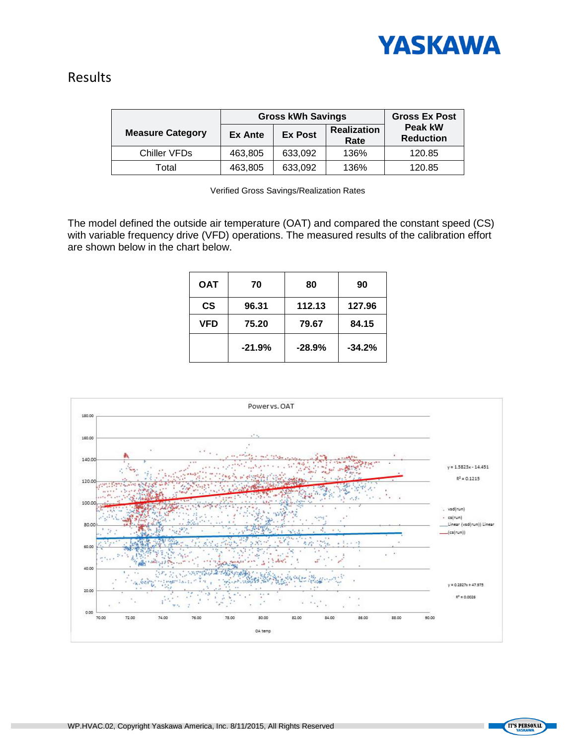

#### Results

|                         | <b>Gross kWh Savings</b> |                |                            | <b>Gross Ex Post</b>        |
|-------------------------|--------------------------|----------------|----------------------------|-----------------------------|
| <b>Measure Category</b> | Ex Ante                  | <b>Ex Post</b> | <b>Realization</b><br>Rate | Peak kW<br><b>Reduction</b> |
| Chiller VFDs            | 463,805                  | 633,092        | 136%                       | 120.85                      |
| Total                   | 463,805                  | 633,092        | 136%                       | 120.85                      |

Verified Gross Savings/Realization Rates

The model defined the outside air temperature (OAT) and compared the constant speed (CS) with variable frequency drive (VFD) operations. The measured results of the calibration effort are shown below in the chart below.

| OAT        | 70       | 80       | 90       |
|------------|----------|----------|----------|
| <b>CS</b>  | 96.31    | 112.13   | 127.96   |
| <b>VFD</b> | 75.20    | 79.67    | 84.15    |
|            | $-21.9%$ | $-28.9%$ | $-34.2%$ |